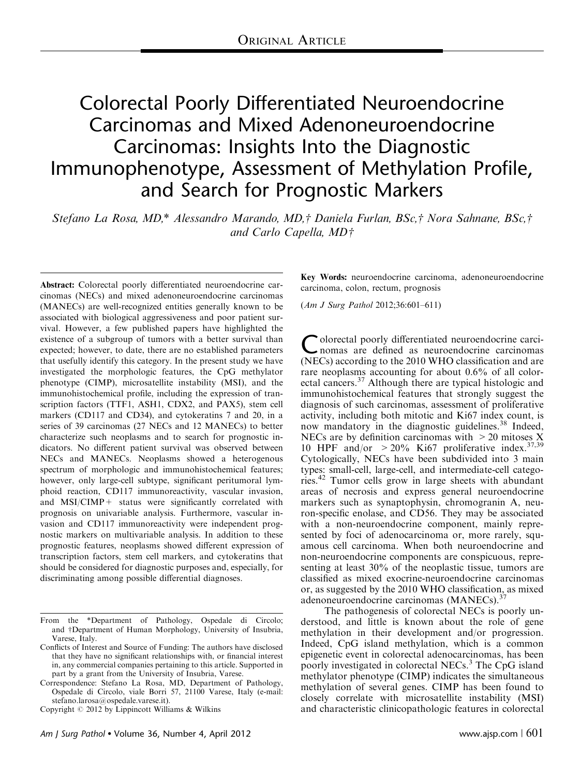# Colorectal Poorly Differentiated Neuroendocrine Carcinomas and Mixed Adenoneuroendocrine Carcinomas: Insights Into the Diagnostic Immunophenotype, Assessment of Methylation Profile, and Search for Prognostic Markers

Stefano La Rosa, MD,\* Alessandro Marando, MD,† Daniela Furlan, BSc,† Nora Sahnane, BSc,† and Carlo Capella,  $MD\uparrow$ 

Abstract: Colorectal poorly differentiated neuroendocrine carcinomas (NECs) and mixed adenoneuroendocrine carcinomas (MANECs) are well-recognized entities generally known to be associated with biological aggressiveness and poor patient survival. However, a few published papers have highlighted the existence of a subgroup of tumors with a better survival than expected; however, to date, there are no established parameters that usefully identify this category. In the present study we have investigated the morphologic features, the CpG methylator phenotype (CIMP), microsatellite instability (MSI), and the immunohistochemical profile, including the expression of transcription factors (TTF1, ASH1, CDX2, and PAX5), stem cell markers (CD117 and CD34), and cytokeratins 7 and 20, in a series of 39 carcinomas (27 NECs and 12 MANECs) to better characterize such neoplasms and to search for prognostic indicators. No different patient survival was observed between NECs and MANECs. Neoplasms showed a heterogenous spectrum of morphologic and immunohistochemical features; however, only large-cell subtype, significant peritumoral lymphoid reaction, CD117 immunoreactivity, vascular invasion, and MSI/CIMP+ status were significantly correlated with prognosis on univariable analysis. Furthermore, vascular invasion and CD117 immunoreactivity were independent prognostic markers on multivariable analysis. In addition to these prognostic features, neoplasms showed different expression of transcription factors, stem cell markers, and cytokeratins that should be considered for diagnostic purposes and, especially, for discriminating among possible differential diagnoses.

Key Words: neuroendocrine carcinoma, adenoneuroendocrine carcinoma, colon, rectum, prognosis

(Am J Surg Pathol 2012;36:601–611)

Colorectal poorly differentiated neuroendocrine carci-<br>
nomas are defined as neuroendocrine carcinomas (NECs) according to the 2010 WHO classification and are rare neoplasms accounting for about 0.6% of all color-ectal cancers.<sup>[37](#page-10-0)</sup> Although there are typical histologic and immunohistochemical features that strongly suggest the diagnosis of such carcinomas, assessment of proliferative activity, including both mitotic and Ki67 index count, is now mandatory in the diagnostic guidelines.<sup>[38](#page-10-0)</sup> Indeed, NECs are by definition carcinomas with  $>$  20 mitoses X 10 HPF and/or  $>20\%$  Ki67 proliferative index.<sup>[37,39](#page-10-0)</sup> Cytologically, NECs have been subdivided into 3 main types: small-cell, large-cell, and intermediate-cell categories.[42](#page-10-0) Tumor cells grow in large sheets with abundant areas of necrosis and express general neuroendocrine markers such as synaptophysin, chromogranin A, neuron-specific enolase, and CD56. They may be associated with a non-neuroendocrine component, mainly represented by foci of adenocarcinoma or, more rarely, squamous cell carcinoma. When both neuroendocrine and non-neuroendocrine components are conspicuous, representing at least 30% of the neoplastic tissue, tumors are classified as mixed exocrine-neuroendocrine carcinomas or, as suggested by the 2010 WHO classification, as mixed adenoneuroendocrine carcinomas (MANECs).<sup>3</sup>

The pathogenesis of colorectal NECs is poorly understood, and little is known about the role of gene methylation in their development and/or progression. Indeed, CpG island methylation, which is a common epigenetic event in colorectal adenocarcinomas, has been poorly investigated in colorectal NECs.<sup>[3](#page-9-0)</sup> The CpG island methylator phenotype (CIMP) indicates the simultaneous methylation of several genes. CIMP has been found to closely correlate with microsatellite instability (MSI) and characteristic clinicopathologic features in colorectal

From the \*Department of Pathology, Ospedale di Circolo; and †Department of Human Morphology, University of Insubria, Varese, Italy.

Conflicts of Interest and Source of Funding: The authors have disclosed that they have no significant relationships with, or financial interest in, any commercial companies pertaining to this article. Supported in part by a grant from the University of Insubria, Varese.

Correspondence: Stefano La Rosa, MD, Department of Pathology, Ospedale di Circolo, viale Borri 57, 21100 Varese, Italy (e-mail: stefano.larosa@ospedale.varese.it).

Copyright  $\odot$  2012 by Lippincott Williams & Wilkins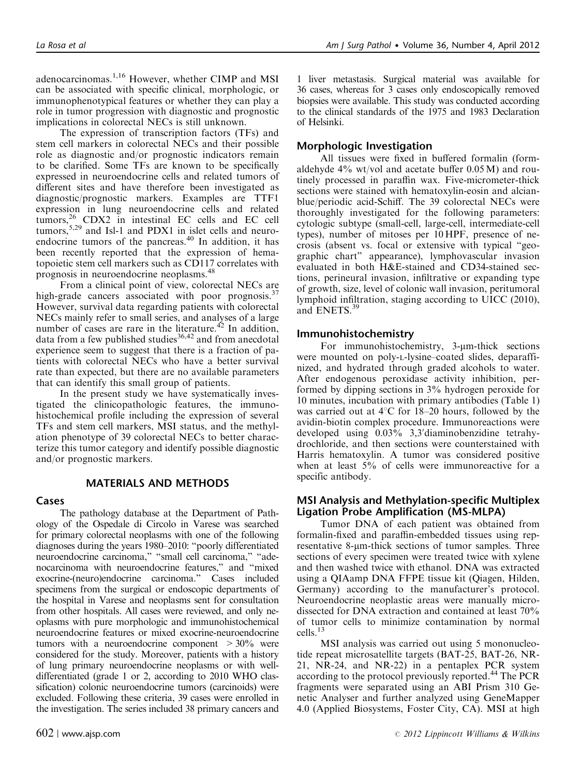adenocarcinomas.[1,16](#page-9-0) However, whether CIMP and MSI can be associated with specific clinical, morphologic, or immunophenotypical features or whether they can play a role in tumor progression with diagnostic and prognostic implications in colorectal NECs is still unknown.

The expression of transcription factors (TFs) and stem cell markers in colorectal NECs and their possible role as diagnostic and/or prognostic indicators remain to be clarified. Some TFs are known to be specifically expressed in neuroendocrine cells and related tumors of different sites and have therefore been investigated as diagnostic/prognostic markers. Examples are TTF1 expression in lung neuroendocrine cells and related tumors,<sup>[26](#page-9-0)</sup> CDX2 in intestinal EC cells and EC cell tumors,  $5,29$  and Isl-1 and PDX1 in islet cells and neuro-endocrine tumors of the pancreas.<sup>[40](#page-10-0)</sup> In addition, it has been recently reported that the expression of hematopoietic stem cell markers such as CD117 correlates with prognosis in neuroendocrine neoplasms.[48](#page-10-0)

From a clinical point of view, colorectal NECs are high-grade cancers associated with poor prognosis.<sup>37</sup> However, survival data regarding patients with colorectal NECs mainly refer to small series, and analyses of a large number of cases are rare in the literature.<sup>[42](#page-10-0)</sup> In addition, data from a few published studies<sup>[36,42](#page-10-0)</sup> and from anecdotal experience seem to suggest that there is a fraction of patients with colorectal NECs who have a better survival rate than expected, but there are no available parameters that can identify this small group of patients.

In the present study we have systematically investigated the clinicopathologic features, the immunohistochemical profile including the expression of several TFs and stem cell markers, MSI status, and the methylation phenotype of 39 colorectal NECs to better characterize this tumor category and identify possible diagnostic and/or prognostic markers.

### MATERIALS AND METHODS

#### Cases

The pathology database at the Department of Pathology of the Ospedale di Circolo in Varese was searched for primary colorectal neoplasms with one of the following diagnoses during the years 1980–2010: "poorly differentiated neuroendocrine carcinoma," "small cell carcinoma," "adenocarcinoma with neuroendocrine features," and "mixed exocrine-(neuro)endocrine carcinoma." Cases included specimens from the surgical or endoscopic departments of the hospital in Varese and neoplasms sent for consultation from other hospitals. All cases were reviewed, and only neoplasms with pure morphologic and immunohistochemical neuroendocrine features or mixed exocrine-neuroendocrine tumors with a neuroendocrine component  $>30\%$  were considered for the study. Moreover, patients with a history of lung primary neuroendocrine neoplasms or with welldifferentiated (grade 1 or 2, according to 2010 WHO classification) colonic neuroendocrine tumors (carcinoids) were excluded. Following these criteria, 39 cases were enrolled in the investigation. The series included 38 primary cancers and

1 liver metastasis. Surgical material was available for 36 cases, whereas for 3 cases only endoscopically removed biopsies were available. This study was conducted according to the clinical standards of the 1975 and 1983 Declaration of Helsinki.

## Morphologic Investigation

All tissues were fixed in buffered formalin (formaldehyde 4% wt/vol and acetate buffer 0.05 M) and routinely processed in paraffin wax. Five-micrometer-thick sections were stained with hematoxylin-eosin and alcianblue/periodic acid-Schiff. The 39 colorectal NECs were thoroughly investigated for the following parameters: cytologic subtype (small-cell, large-cell, intermediate-cell types), number of mitoses per 10 HPF, presence of necrosis (absent vs. focal or extensive with typical "geographic chart" appearance), lymphovascular invasion evaluated in both H&E-stained and CD34-stained sections, perineural invasion, infiltrative or expanding type of growth, size, level of colonic wall invasion, peritumoral lymphoid infiltration, staging according to UICC (2010), and ENETS.<sup>[39](#page-10-0)</sup>

#### Immunohistochemistry

For immunohistochemistry,  $3$ - $\mu$ m-thick sections were mounted on poly-L-lysine–coated slides, deparaffinized, and hydrated through graded alcohols to water. After endogenous peroxidase activity inhibition, performed by dipping sections in 3% hydrogen peroxide for 10 minutes, incubation with primary antibodies ([Table 1](#page-2-0)) was carried out at  $4^{\circ}$ C for 18–20 hours, followed by the avidin-biotin complex procedure. Immunoreactions were developed using  $0.03\%$  3,3' diaminobenzidine tetrahydrochloride, and then sections were counterstained with Harris hematoxylin. A tumor was considered positive when at least 5% of cells were immunoreactive for a specific antibody.

## MSI Analysis and Methylation-specific Multiplex Ligation Probe Amplification (MS-MLPA)

Tumor DNA of each patient was obtained from formalin-fixed and paraffin-embedded tissues using representative 8-µm-thick sections of tumor samples. Three sections of every specimen were treated twice with xylene and then washed twice with ethanol. DNA was extracted using a QIAamp DNA FFPE tissue kit (Qiagen, Hilden, Germany) according to the manufacturer's protocol. Neuroendocrine neoplastic areas were manually microdissected for DNA extraction and contained at least 70% of tumor cells to minimize contamination by normal cells.[13](#page-9-0)

MSI analysis was carried out using 5 mononucleotide repeat microsatellite targets (BAT-25, BAT-26, NR-21, NR-24, and NR-22) in a pentaplex PCR system according to the protocol previously reported.[44](#page-10-0) The PCR fragments were separated using an ABI Prism 310 Genetic Analyser and further analyzed using GeneMapper 4.0 (Applied Biosystems, Foster City, CA). MSI at high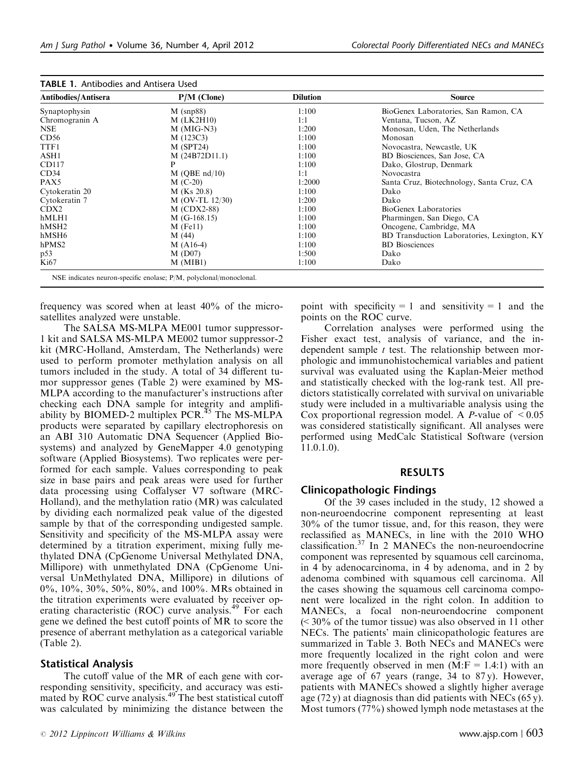| Antibodies/Antisera | $P/M$ (Clone)     | <b>Dilution</b> | <b>Source</b>                               |
|---------------------|-------------------|-----------------|---------------------------------------------|
| Synaptophysin       | $M$ (snp88)       | 1:100           | BioGenex Laboratories, San Ramon, CA        |
| Chromogranin A      | $M$ (LK2H10)      | 1:1             | Ventana, Tucson, AZ                         |
| NSE.                | $M$ (MIG-N3)      | 1:200           | Monosan, Uden, The Netherlands              |
| CD56                | M (123C3)         | 1:100           | Monosan                                     |
| TTF1                | M(SPT24)          | 1:100           | Novocastra, Newcastle, UK                   |
| ASH1                | M(24B72D11.1)     | 1:100           | BD Biosciences, San Jose, CA                |
| CD117               | P                 | 1:100           | Dako, Glostrup, Denmark                     |
| CD34                | $M$ (OBE nd/10)   | 1:1             | Novocastra                                  |
| PAX5                | $M$ (C-20)        | 1:2000          | Santa Cruz, Biotechnology, Santa Cruz, CA   |
| Cytokeratin 20      | $M$ (Ks 20.8)     | 1:100           | Dako                                        |
| Cytokeratin 7       | $M$ (OV-TL 12/30) | 1:200           | Dako                                        |
| CDX <sub>2</sub>    | $M (CDX2-88)$     | 1:100           | BioGenex Laboratories                       |
| hMLH1               | $M$ (G-168.15)    | 1:100           | Pharmingen, San Diego, CA                   |
| hMSH2               | $M$ (Fe11)        | 1:100           | Oncogene, Cambridge, MA                     |
| hMSH <sub>6</sub>   | M(44)             | 1:100           | BD Transduction Laboratories, Lexington, KY |
| hPMS <sub>2</sub>   | $M(A16-4)$        | 1:100           | <b>BD</b> Biosciences                       |
| p53                 | $M$ (D07)         | 1:500           | Dako                                        |
| Ki67                | M (MIB1)          | 1:100           | Dako                                        |

<span id="page-2-0"></span>

|  |  | <b>TABLE 1. Antibodies and Antisera Used</b> |  |
|--|--|----------------------------------------------|--|
|--|--|----------------------------------------------|--|

frequency was scored when at least 40% of the microsatellites analyzed were unstable.

The SALSA MS-MLPA ME001 tumor suppressor-1 kit and SALSA MS-MLPA ME002 tumor suppressor-2 kit (MRC-Holland, Amsterdam, The Netherlands) were used to perform promoter methylation analysis on all tumors included in the study. A total of 34 different tumor suppressor genes ([Table 2\)](#page-3-0) were examined by MS-MLPA according to the manufacturer's instructions after checking each DNA sample for integrity and amplifiability by BIOMED-2 multiplex PCR. $45$  The MS-MLPA products were separated by capillary electrophoresis on an ABI 310 Automatic DNA Sequencer (Applied Biosystems) and analyzed by GeneMapper 4.0 genotyping software (Applied Biosystems). Two replicates were performed for each sample. Values corresponding to peak size in base pairs and peak areas were used for further data processing using Coffalyser V7 software (MRC-Holland), and the methylation ratio (MR) was calculated by dividing each normalized peak value of the digested sample by that of the corresponding undigested sample. Sensitivity and specificity of the MS-MLPA assay were determined by a titration experiment, mixing fully methylated DNA (CpGenome Universal Methylated DNA, Millipore) with unmethylated DNA (CpGenome Universal UnMethylated DNA, Millipore) in dilutions of 0%, 10%, 30%, 50%, 80%, and 100%. MRs obtained in the titration experiments were evaluated by receiver op-erating characteristic (ROC) curve analysis.<sup>[49](#page-10-0)</sup> For each gene we defined the best cutoff points of MR to score the presence of aberrant methylation as a categorical variable ([Table 2](#page-3-0)).

#### Statistical Analysis

The cutoff value of the MR of each gene with corresponding sensitivity, specificity, and accuracy was esti-mated by ROC curve analysis.<sup>[49](#page-10-0)</sup> The best statistical cutoff was calculated by minimizing the distance between the

point with specificity = 1 and sensitivity = 1 and the points on the ROC curve.

Correlation analyses were performed using the Fisher exact test, analysis of variance, and the independent sample  $t$  test. The relationship between morphologic and immunohistochemical variables and patient survival was evaluated using the Kaplan-Meier method and statistically checked with the log-rank test. All predictors statistically correlated with survival on univariable study were included in a multivariable analysis using the Cox proportional regression model. A *P*-value of  $\leq 0.05$ was considered statistically significant. All analyses were performed using MedCalc Statistical Software (version 11.0.1.0).

#### RESULTS

#### Clinicopathologic Findings

Of the 39 cases included in the study, 12 showed a non-neuroendocrine component representing at least 30% of the tumor tissue, and, for this reason, they were reclassified as MANECs, in line with the 2010 WHO classification.[37](#page-10-0) In 2 MANECs the non-neuroendocrine component was represented by squamous cell carcinoma, in 4 by adenocarcinoma, in 4 by adenoma, and in 2 by adenoma combined with squamous cell carcinoma. All the cases showing the squamous cell carcinoma component were localized in the right colon. In addition to MANECs, a focal non-neuroendocrine component  $\approx$  30% of the tumor tissue) was also observed in 11 other NECs. The patients' main clinicopathologic features are summarized in [Table 3.](#page-4-0) Both NECs and MANECs were more frequently localized in the right colon and were more frequently observed in men  $(M: F = 1.4:1)$  with an average age of 67 years (range, 34 to 87 y). However, patients with MANECs showed a slightly higher average age  $(72 y)$  at diagnosis than did patients with NECs  $(65 y)$ . Most tumors (77%) showed lymph node metastases at the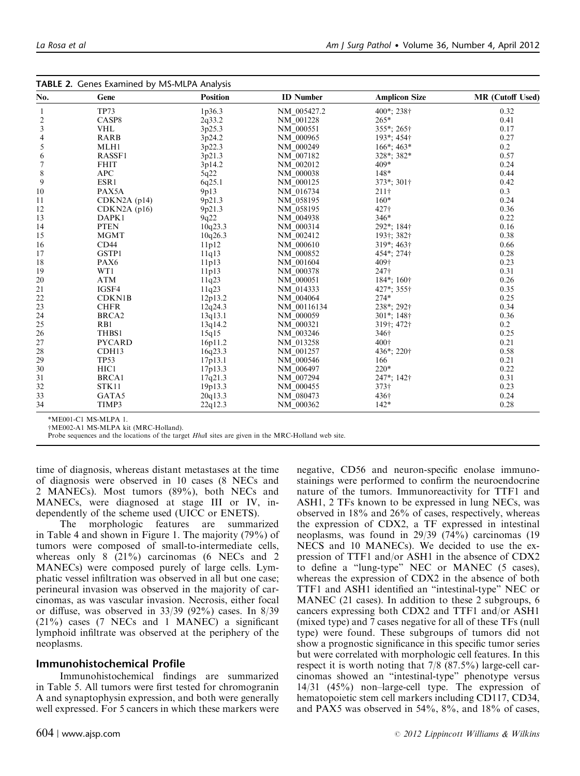<span id="page-3-0"></span>

|                | <b>TABLE 2.</b> Genes Examined by MS-MLPA Analysis | <b>Position</b> |                  |                                         |                         |
|----------------|----------------------------------------------------|-----------------|------------------|-----------------------------------------|-------------------------|
| No.            | Gene                                               |                 | <b>ID</b> Number | <b>Amplicon Size</b>                    | <b>MR</b> (Cutoff Used) |
| 1              | <b>TP73</b>                                        | 1p36.3          | NM_005427.2      | 400*; 238†                              | 0.32                    |
| $\overline{c}$ | CASP <sub>8</sub>                                  | 2q33.2          | NM 001228        | 265*                                    | 0.41                    |
| 3              | <b>VHL</b>                                         | 3p25.3          | NM 000551        | 355*; 265†                              | 0.17                    |
| 4              | <b>RARB</b>                                        | 3p24.2          | NM 000965        | 193*; 454†                              | 0.27                    |
| 5              | MLH1                                               | 3p22.3          | NM_000249        | $166^*$ ; 463*                          | 0.2                     |
| 6              | RASSF1                                             | 3p21.3          | NM 007182        | 328*; 382*                              | 0.57                    |
| 7              | <b>FHIT</b>                                        | 3p14.2          | NM 002012        | 409*                                    | 0.24                    |
| 8              | <b>APC</b>                                         | 5q22            | NM 000038        | $148*$                                  | 0.44                    |
| 9              | $ESR1$                                             | 6q25.1          | NM_000125        | 373*; 301†                              | 0.42                    |
| 10             | PAX5A                                              | 9p13            | NM 016734        | 211 <sup>†</sup>                        | 0.3                     |
| 11             | CDKN2A(p14)                                        | 9p21.3          | NM_058195        | $160*$                                  | 0.24                    |
| 12             | CDKN2A(p16)                                        | 9p21.3          | NM_058195        | 427†                                    | 0.36                    |
| 13             | DAPK1                                              | 9q22            | NM_004938        | 346*                                    | 0.22                    |
| 14             | <b>PTEN</b>                                        | 10q23.3         | NM_000314        | 292*; 184†                              | 0.16                    |
| 15             | <b>MGMT</b>                                        | 10q26.3         | NM_002412        | 193†; 382†                              | 0.38                    |
| 16             | CD44                                               | 11p12           | NM_000610        | 319*; 463†                              | 0.66                    |
| 17             | GSTP1                                              | 11q13           | NM 000852        | 454*; 274†                              | 0.28                    |
| 18             | PAX6                                               | 11p13           | NM_001604        | 409†                                    | 0.23                    |
| 19             | WT1                                                | 11p13           | NM_000378        | 247†                                    | 0.31                    |
| 20             | <b>ATM</b>                                         | 11q23           | NM_000051        | $184$ <sup>*</sup> ; $160$ <sup>†</sup> | 0.26                    |
| 21             | IGSF4                                              | 11q23           | NM 014333        | 427*; 355†                              | 0.35                    |
| 22             | <b>CDKN1B</b>                                      | 12p13.2         | NM_004064        | $274*$                                  | 0.25                    |
| 23             | <b>CHFR</b>                                        | 12q24.3         | NM_00116134      | 238*; 292†                              | 0.34                    |
| 24             | BRCA <sub>2</sub>                                  | 13q13.1         | NM 000059        | 301*; 148†                              | 0.36                    |
| 25             | R <sub>B1</sub>                                    | 13q14.2         | NM 000321        | 319†; 472†                              | 0.2                     |
| 26             | THBS1                                              | 15q15           | NM_003246        | 346†                                    | 0.25                    |
| 27             | <b>PYCARD</b>                                      | 16p11.2         | NM 013258        | 400+                                    | 0.21                    |
| 28             | CDH <sub>13</sub>                                  | 16q23.3         | NM_001257        | 436*; 220†                              | 0.58                    |
| 29             | <b>TP53</b>                                        | 17p13.1         | NM 000546        | 166                                     | 0.21                    |
| 30             | HIC1                                               | 17p13.3         | NM 006497        | $220*$                                  | 0.22                    |
| 31             | <b>BRCA1</b>                                       | 17q21.3         | NM 007294        | 247*; 142†                              | 0.31                    |
| 32             | STK11                                              | 19p13.3         | NM 000455        | 373†                                    | 0.23                    |
| 33             | GATA5                                              | 20q13.3         | NM_080473        | 436†                                    | 0.24                    |
| 34             | TIMP3                                              | 22q12.3         | NM_000362        | $142*$                                  | 0.28                    |

\*ME001-C1 MS-MLPA 1.<br>†ME002-A1 MS-MLPA kit (MRC-Holland).

†ME002-A1 MS-MLPA kit (MRC-Holland).<br>Probe sequences and the locations of the target HhaI sites are given in the MRC-Holland web site.

time of diagnosis, whereas distant metastases at the time of diagnosis were observed in 10 cases (8 NECs and 2 MANECs). Most tumors (89%), both NECs and MANECs, were diagnosed at stage III or IV, independently of the scheme used (UICC or ENETS).

The morphologic features are summarized in [Table 4](#page-4-0) and shown in [Figure 1.](#page-5-0) The majority (79%) of tumors were composed of small-to-intermediate cells, whereas only 8 (21%) carcinomas (6 NECs and 2 MANECs) were composed purely of large cells. Lymphatic vessel infiltration was observed in all but one case; perineural invasion was observed in the majority of carcinomas, as was vascular invasion. Necrosis, either focal or diffuse, was observed in 33/39 (92%) cases. In 8/39 (21%) cases (7 NECs and 1 MANEC) a significant lymphoid infiltrate was observed at the periphery of the neoplasms.

## Immunohistochemical Profile

Immunohistochemical findings are summarized in [Table 5.](#page-6-0) All tumors were first tested for chromogranin A and synaptophysin expression, and both were generally well expressed. For 5 cancers in which these markers were negative, CD56 and neuron-specific enolase immunostainings were performed to confirm the neuroendocrine nature of the tumors. Immunoreactivity for TTF1 and ASH1, 2 TFs known to be expressed in lung NECs, was observed in 18% and 26% of cases, respectively, whereas the expression of CDX2, a TF expressed in intestinal neoplasms, was found in 29/39 (74%) carcinomas (19 NECS and 10 MANECs). We decided to use the expression of TTF1 and/or ASH1 in the absence of CDX2 to define a "lung-type" NEC or MANEC (5 cases), whereas the expression of CDX2 in the absence of both TTF1 and ASH1 identified an "intestinal-type" NEC or MANEC (21 cases). In addition to these 2 subgroups, 6 cancers expressing both CDX2 and TTF1 and/or ASH1 (mixed type) and 7 cases negative for all of these TFs (null type) were found. These subgroups of tumors did not show a prognostic significance in this specific tumor series but were correlated with morphologic cell features. In this respect it is worth noting that 7/8 (87.5%) large-cell carcinomas showed an "intestinal-type" phenotype versus 14/31 (45%) non–large-cell type. The expression of hematopoietic stem cell markers including CD117, CD34, and PAX5 was observed in 54%, 8%, and 18% of cases,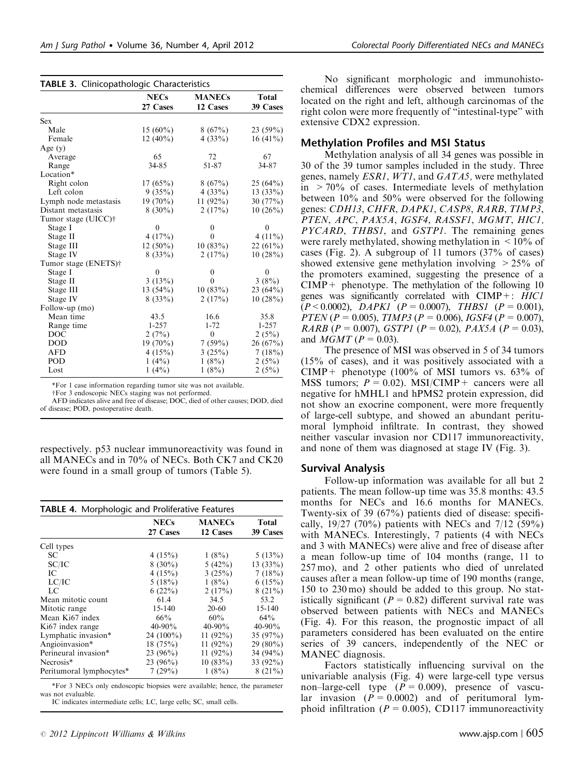|                       | <b>NECs</b>  | <b>MANECs</b> | <b>Total</b> |
|-----------------------|--------------|---------------|--------------|
|                       | 27 Cases     | 12 Cases      | 39 Cases     |
| <b>Sex</b>            |              |               |              |
| Male                  | $15(60\%)$   | 8(67%)        | $23(59\%)$   |
| Female                | $12(40\%)$   | 4(33%)        | $16(41\%)$   |
| Age $(y)$             |              |               |              |
| Average               | 65           | 72            | 67           |
| Range                 | 34-85        | 51-87         | 34-87        |
| Location*             |              |               |              |
| Right colon           | 17(65%)      | 8(67%)        | 25(64%)      |
| Left colon            | 9(35%)       | 4(33%)        | 13(33%)      |
| Lymph node metastasis | $19(70\%)$   | 11 $(92\%)$   | 30 $(77%)$   |
| Distant metastasis    | $8(30\%)$    | 2(17%)        | 10(26%)      |
| Tumor stage (UICC)†   |              |               |              |
| Stage I               | $\mathbf{0}$ | 0             | $\mathbf{0}$ |
| Stage II              | 4(17%)       | 0             | 4 $(11\%)$   |
| Stage III             | $12(50\%)$   | 10(83%)       | $22(61\%)$   |
| Stage IV              | 8(33%)       | 2(17%)        | 10(28%)      |
| Tumor stage (ENETS)†  |              |               |              |
| Stage I               | $\theta$     | 0             | $\mathbf{0}$ |
| Stage II              | 3(13%)       | $\theta$      | 3(8%)        |
| Stage III             | 13(54%)      | 10(83%)       | $23(64\%)$   |
| Stage IV              | 8(33%)       | 2(17%)        | 10(28%)      |
| Follow-up (mo)        |              |               |              |
| Mean time             | 43.5         | 16.6          | 35.8         |
| Range time            | $1 - 257$    | $1 - 72$      | $1 - 257$    |
| DOC                   | 2(7%)        | $\mathbf{0}$  | 2(5%)        |
| <b>DOD</b>            | $19(70\%)$   | $7(59\%)$     | 26(67%)      |
| <b>AFD</b>            | 4(15%)       | 3(25%)        | 7(18%)       |
| POD                   | $1(4\%)$     | $1(8\%)$      | 2(5%)        |
| Lost                  | $1(4\%)$     | 1(8%)         | 2(5%)        |

<span id="page-4-0"></span>TABLE 3. Clinicopathologic Characteristics

\*For 1 case information regarding tumor site was not available.

wFor 3 endoscopic NECs staging was not performed.

AFD indicates alive and free of disease; DOC, died of other causes; DOD, died of disease; POD, postoperative death.

respectively. p53 nuclear immunoreactivity was found in all MANECs and in 70% of NECs. Both CK7 and CK20 were found in a small group of tumors ([Table 5](#page-6-0)).

| <b>TABLE 4.</b> Morphologic and Proliferative Features |                         |                           |                   |
|--------------------------------------------------------|-------------------------|---------------------------|-------------------|
|                                                        | <b>NECs</b><br>27 Cases | <b>MANECs</b><br>12 Cases | Total<br>39 Cases |
| Cell types                                             |                         |                           |                   |
| SC.                                                    | 4(15%)                  | $1(8\%)$                  | 5(13%)            |
| SC/IC                                                  | $8(30\%)$               | 5(42%)                    | $13(33\%)$        |
| IС                                                     | 4(15%)                  | 3(25%)                    | 7(18%)            |
| LC/IC                                                  | 5(18%)                  | $1(8\%)$                  | 6(15%)            |
| LC                                                     | 6(22%)                  | 2(17%)                    | $8(21\%)$         |
| Mean mitotic count                                     | 61.4                    | 34.5                      | 53.2              |
| Mitotic range                                          | $15 - 140$              | $20-60$                   | $15 - 140$        |
| Mean Ki67 index                                        | 66%                     | 60%                       | $64\%$            |
| Ki <sub>67</sub> index range                           | $40 - 90\%$             | $40 - 90\%$               | $40 - 90\%$       |
| Lymphatic invasion*                                    | 24 $(100\%)$            | 11 $(92\%)$               | 35(97%)           |
| Angioinvasion*                                         | 18(75%)                 | 11 $(92\%)$               | 29 $(80\%)$       |
| Perineural invasion*                                   | $23(96\%)$              | 11 $(92\%)$               | 34 $(94\%)$       |
| Necrosis*                                              | 23 $(96\%)$             | 10(83%)                   | 33 (92%)          |
| Peritumoral lymphocytes*                               | 7(29%)                  | $1(8\%)$                  | $8(21\%)$         |

\*For 3 NECs only endoscopic biopsies were available; hence, the parameter was not evaluable.

IC indicates intermediate cells; LC, large cells; SC, small cells.

No significant morphologic and immunohistochemical differences were observed between tumors located on the right and left, although carcinomas of the right colon were more frequently of "intestinal-type" with extensive CDX2 expression.

## Methylation Profiles and MSI Status

Methylation analysis of all 34 genes was possible in 30 of the 39 tumor samples included in the study. Three genes, namely ESR1, WT1, and GATA5, were methylated in  $>70\%$  of cases. Intermediate levels of methylation between 10% and 50% were observed for the following genes: CDH13, CHFR, DAPK1, CASP8, RARB, TIMP3, PTEN, APC, PAX5A, IGSF4, RASSF1, MGMT, HIC1, PYCARD, THBS1, and GSTP1. The remaining genes were rarely methylated, showing methylation in  $\leq 10\%$  of cases [\(Fig. 2\)](#page-6-0). A subgroup of 11 tumors (37% of cases) showed extensive gene methylation involving  $> 25\%$  of the promoters examined, suggesting the presence of a  $CIMP +$  phenotype. The methylation of the following 10 genes was significantly correlated with CIMP+: HIC1  $(P < 0.0002)$ , *DAPK1*  $(P = 0.0007)$ , *THBS1*  $(P = 0.001)$ , PTEN (P = 0.005), TIMP3 (P = 0.006), IGSF4 (P = 0.007), RARB ( $P = 0.007$ ), GSTP1 ( $P = 0.02$ ), PAX5A ( $P = 0.03$ ), and  $MGMT (P = 0.03)$ .

The presence of MSI was observed in 5 of 34 tumors (15% of cases), and it was positively associated with a CIMP+ phenotype  $(100\% \text{ of MSI tumors vs. } 63\% \text{ of }$ MSS tumors;  $P = 0.02$ ). MSI/CIMP + cancers were all negative for hMHL1 and hPMS2 protein expression, did not show an exocrine component, were more frequently of large-cell subtype, and showed an abundant peritumoral lymphoid infiltrate. In contrast, they showed neither vascular invasion nor CD117 immunoreactivity, and none of them was diagnosed at stage IV ([Fig. 3](#page-6-0)).

## Survival Analysis

Follow-up information was available for all but 2 patients. The mean follow-up time was 35.8 months: 43.5 months for NECs and 16.6 months for MANECs. Twenty-six of 39 (67%) patients died of disease: specifically,  $19/27$  (70%) patients with NECs and 7/12 (59%) with MANECs. Interestingly, 7 patients (4 with NECs and 3 with MANECs) were alive and free of disease after a mean follow-up time of 104 months (range, 11 to 257 mo), and 2 other patients who died of unrelated causes after a mean follow-up time of 190 months (range, 150 to 230 mo) should be added to this group. No statistically significant ( $P = 0.82$ ) different survival rate was observed between patients with NECs and MANECs ([Fig. 4\)](#page-7-0). For this reason, the prognostic impact of all parameters considered has been evaluated on the entire series of 39 cancers, independently of the NEC or MANEC diagnosis.

Factors statistically influencing survival on the univariable analysis [\(Fig. 4](#page-7-0)) were large-cell type versus non–large-cell type  $(P = 0.009)$ , presence of vascular invasion ( $P = 0.0002$ ) and of peritumoral lymphoid infiltration ( $P = 0.005$ ), CD117 immunoreactivity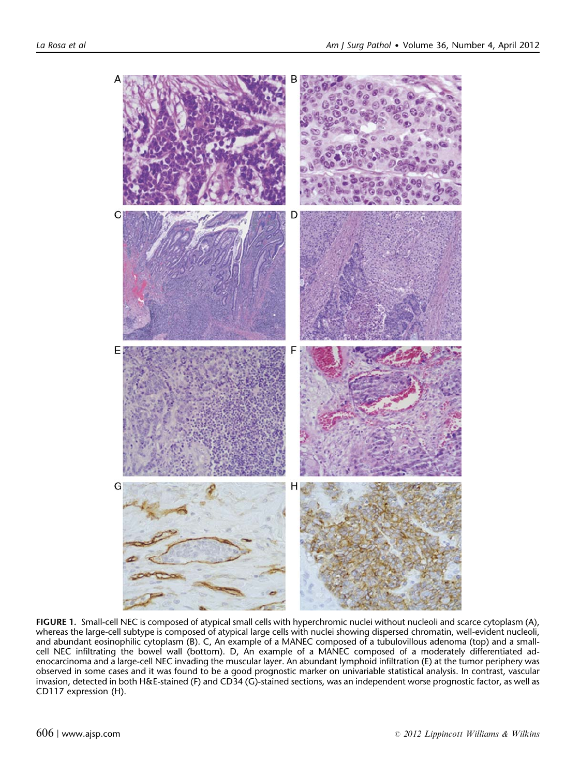<span id="page-5-0"></span>

FIGURE 1. Small-cell NEC is composed of atypical small cells with hyperchromic nuclei without nucleoli and scarce cytoplasm (A), whereas the large-cell subtype is composed of atypical large cells with nuclei showing dispersed chromatin, well-evident nucleoli, and abundant eosinophilic cytoplasm (B). C, An example of a MANEC composed of a tubulovillous adenoma (top) and a smallcell NEC infiltrating the bowel wall (bottom). D, An example of a MANEC composed of a moderately differentiated adenocarcinoma and a large-cell NEC invading the muscular layer. An abundant lymphoid infiltration (E) at the tumor periphery was observed in some cases and it was found to be a good prognostic marker on univariable statistical analysis. In contrast, vascular invasion, detected in both H&E-stained (F) and CD34 (G)-stained sections, was an independent worse prognostic factor, as well as CD117 expression (H).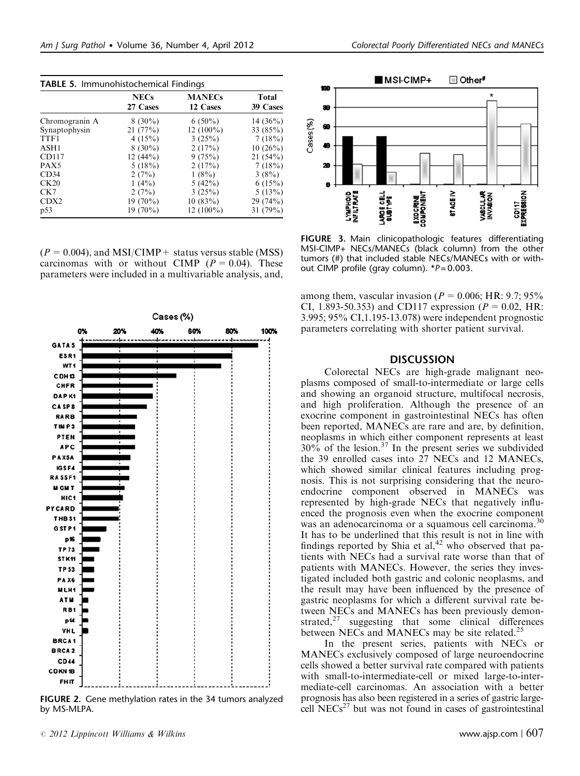|                  | <b>NECs</b><br>27 Cases | <b>MANECs</b><br>12 Cases | Total<br>39 Cases |
|------------------|-------------------------|---------------------------|-------------------|
| Chromogranin A   | $8(30\%)$               | $6(50\%)$                 | 14 $(36\%)$       |
| Synaptophysin    | 21(77%)                 | $12(100\%)$               | 33(85%)           |
| TTF1             | 4(15%)                  | 3(25%)                    | 7(18%)            |
| ASH1             | $8(30\%)$               | 2(17%)                    | 10(26%)           |
| CD117            | 12(44%)                 | 9(75%)                    | 21(54%)           |
| PAX5             | 5(18%)                  | 2(17%)                    | 7(18%)            |
| CD34             | 2(7%)                   | $1(8\%)$                  | 3(8%)             |
| CK20             | $1(4\%)$                | 5(42%)                    | 6(15%)            |
| CK7              | 2(7%)                   | 3(25%)                    | 5(13%)            |
| CDX <sub>2</sub> | $19(70\%)$              | 10(83%)                   | 29(74%)           |
| p53              | $19(70\%)$              | $12(100\%)$               | 31 (79%)          |

<span id="page-6-0"></span>TABLE 5. Immunohistochemical Findings

 $(P = 0.004)$ , and MSI/CIMP + status versus stable (MSS) carcinomas with or without CIMP ( $P = 0.04$ ). These parameters were included in a multivariable analysis, and,



FIGURE 2. Gene methylation rates in the 34 tumors analyzed by MS-MLPA.



FIGURE 3. Main clinicopathologic features differentiating MSI-CIMP+ NECs/MANECs (black column) from the other tumors (#) that included stable NECs/MANECs with or without CIMP profile (gray column).  $*P = 0.003$ .

among them, vascular invasion ( $P = 0.006$ ; HR: 9.7; 95% CI, 1.893-50.353) and CD117 expression ( $P = 0.02$ , HR: 3.995; 95% CI,1.195-13.078) were independent prognostic parameters correlating with shorter patient survival.

#### **DISCUSSION**

Colorectal NECs are high-grade malignant neoplasms composed of small-to-intermediate or large cells and showing an organoid structure, multifocal necrosis, and high proliferation. Although the presence of an exocrine component in gastrointestinal NECs has often been reported, MANECs are rare and are, by definition, neoplasms in which either component represents at least  $30\%$  of the lesion.<sup>[37](#page-10-0)</sup> In the present series we subdivided the 39 enrolled cases into 27 NECs and 12 MANECs, which showed similar clinical features including prognosis. This is not surprising considering that the neuroendocrine component observed in MANECs was represented by high-grade NECs that negatively influenced the prognosis even when the exocrine component was an adenocarcinoma or a squamous cell carcinoma.<sup>[30](#page-10-0)</sup> It has to be underlined that this result is not in line with findings reported by Shia et  $al<sub>1</sub><sup>42</sup>$  $al<sub>1</sub><sup>42</sup>$  $al<sub>1</sub><sup>42</sup>$  who observed that patients with NECs had a survival rate worse than that of patients with MANECs. However, the series they investigated included both gastric and colonic neoplasms, and the result may have been influenced by the presence of gastric neoplasms for which a different survival rate between NECs and MANECs has been previously demonstrated, $27$  suggesting that some clinical differences between NECs and MANECs may be site related.<sup>[25](#page-9-0)</sup>

In the present series, patients with NECs or MANECs exclusively composed of large neuroendocrine cells showed a better survival rate compared with patients with small-to-intermediate-cell or mixed large-to-intermediate-cell carcinomas. An association with a better prognosis has also been registered in a series of gastric largecell  $NECs^{27}$  $NECs^{27}$  $NECs^{27}$  but was not found in cases of gastrointestinal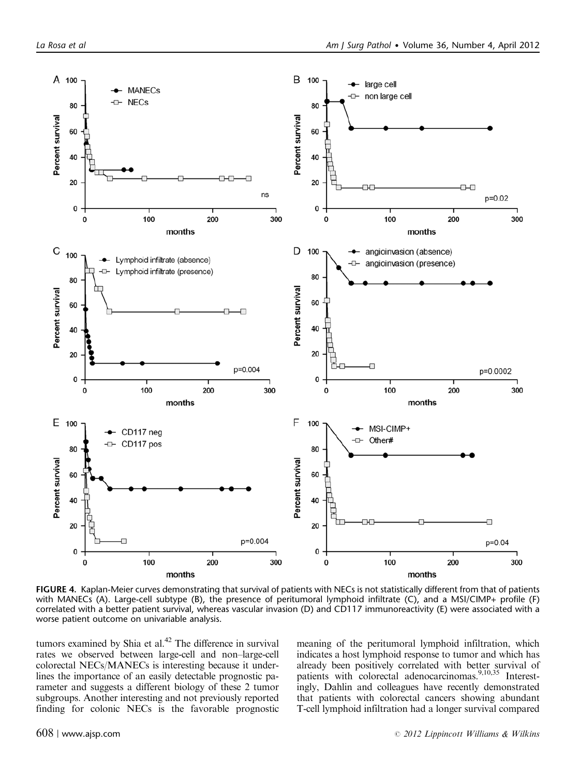<span id="page-7-0"></span>

FIGURE 4. Kaplan-Meier curves demonstrating that survival of patients with NECs is not statistically different from that of patients with MANECs (A). Large-cell subtype (B), the presence of peritumoral lymphoid infiltrate (C), and a MSI/CIMP+ profile (F) correlated with a better patient survival, whereas vascular invasion (D) and CD117 immunoreactivity (E) were associated with a worse patient outcome on univariable analysis.

tumors examined by Shia et al. $42$  The difference in survival rates we observed between large-cell and non–large-cell colorectal NECs/MANECs is interesting because it underlines the importance of an easily detectable prognostic parameter and suggests a different biology of these 2 tumor subgroups. Another interesting and not previously reported finding for colonic NECs is the favorable prognostic

meaning of the peritumoral lymphoid infiltration, which indicates a host lymphoid response to tumor and which has already been positively correlated with better survival of patients with colorectal adenocarcinomas.<sup>9,10,35</sup> Interestingly, Dahlin and colleagues have recently demonstrated that patients with colorectal cancers showing abundant T-cell lymphoid infiltration had a longer survival compared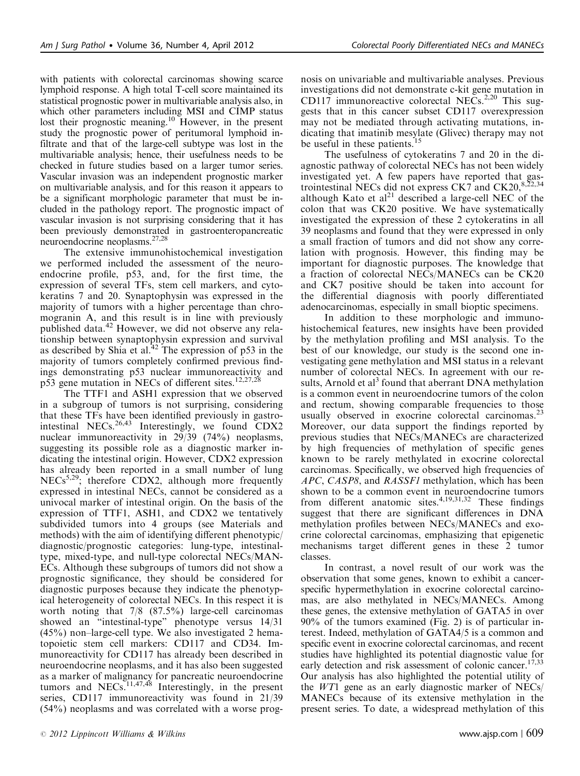with patients with colorectal carcinomas showing scarce lymphoid response. A high total T-cell score maintained its statistical prognostic power in multivariable analysis also, in which other parameters including MSI and CIMP status lost their prognostic meaning.<sup>10</sup> However, in the present study the prognostic power of peritumoral lymphoid infiltrate and that of the large-cell subtype was lost in the multivariable analysis; hence, their usefulness needs to be checked in future studies based on a larger tumor series. Vascular invasion was an independent prognostic marker on multivariable analysis, and for this reason it appears to be a significant morphologic parameter that must be included in the pathology report. The prognostic impact of vascular invasion is not surprising considering that it has been previously demonstrated in gastroenteropancreatic neuroendocrine neoplasms[.27,28](#page-9-0)

The extensive immunohistochemical investigation we performed included the assessment of the neuroendocrine profile, p53, and, for the first time, the expression of several TFs, stem cell markers, and cytokeratins 7 and 20. Synaptophysin was expressed in the majority of tumors with a higher percentage than chromogranin A, and this result is in line with previously published data.<sup>[42](#page-10-0)</sup> However, we did not observe any relationship between synaptophysin expression and survival as described by Shia et al.<sup>[42](#page-10-0)</sup> The expression of p53 in the majority of tumors completely confirmed previous findings demonstrating p53 nuclear immunoreactivity and p53 gene mutation in NECs of different sites.<sup>[12,27,28](#page-9-0)</sup>

The TTF1 and ASH1 expression that we observed in a subgroup of tumors is not surprising, considering that these TFs have been identified previously in gastro-intestinal NECs.<sup>[26,43](#page-9-0)</sup> Interestingly, we found CDX2 nuclear immunoreactivity in 29/39 (74%) neoplasms, suggesting its possible role as a diagnostic marker indicating the intestinal origin. However, CDX2 expression has already been reported in a small number of lung NECs<sup>5,29</sup>; therefore CDX2, although more frequently expressed in intestinal NECs, cannot be considered as a univocal marker of intestinal origin. On the basis of the expression of TTF1, ASH1, and CDX2 we tentatively subdivided tumors into 4 groups (see Materials and methods) with the aim of identifying different phenotypic/ diagnostic/prognostic categories: lung-type, intestinaltype, mixed-type, and null-type colorectal NECs/MAN-ECs. Although these subgroups of tumors did not show a prognostic significance, they should be considered for diagnostic purposes because they indicate the phenotypical heterogeneity of colorectal NECs. In this respect it is worth noting that 7/8 (87.5%) large-cell carcinomas showed an "intestinal-type" phenotype versus 14/31 (45%) non–large-cell type. We also investigated 2 hematopoietic stem cell markers: CD117 and CD34. Immunoreactivity for CD117 has already been described in neuroendocrine neoplasms, and it has also been suggested as a marker of malignancy for pancreatic neuroendocrine tumors and NECs.<sup>11,47,48</sup> Interestingly, in the present series, CD117 immunoreactivity was found in 21/39 (54%) neoplasms and was correlated with a worse prognosis on univariable and multivariable analyses. Previous investigations did not demonstrate c-kit gene mutation in CD117 immunoreactive colorectal NECs.<sup>2,20</sup> This suggests that in this cancer subset CD117 overexpression may not be mediated through activating mutations, indicating that imatinib mesylate (Glivec) therapy may not be useful in these patients.<sup>[15](#page-9-0)</sup>

The usefulness of cytokeratins 7 and 20 in the diagnostic pathway of colorectal NECs has not been widely investigated yet. A few papers have reported that gastrointestinal NECs did not express CK7 and  $CK20$ , $8.2$ although Kato et  $al<sup>21</sup>$  $al<sup>21</sup>$  $al<sup>21</sup>$  described a large-cell NEC of the colon that was CK20 positive. We have systematically investigated the expression of these 2 cytokeratins in all 39 neoplasms and found that they were expressed in only a small fraction of tumors and did not show any correlation with prognosis. However, this finding may be important for diagnostic purposes. The knowledge that a fraction of colorectal NECs/MANECs can be CK20 and CK7 positive should be taken into account for the differential diagnosis with poorly differentiated adenocarcinomas, especially in small bioptic specimens.

In addition to these morphologic and immunohistochemical features, new insights have been provided by the methylation profiling and MSI analysis. To the best of our knowledge, our study is the second one investigating gene methylation and MSI status in a relevant number of colorectal NECs. In agreement with our re-sults, Arnold et al<sup>[3](#page-9-0)</sup> found that aberrant DNA methylation is a common event in neuroendocrine tumors of the colon and rectum, showing comparable frequencies to those usually observed in exocrine colorectal carcinomas. $2<sup>3</sup>$ Moreover, our data support the findings reported by previous studies that NECs/MANECs are characterized by high frequencies of methylation of specific genes known to be rarely methylated in exocrine colorectal carcinomas. Specifically, we observed high frequencies of APC, CASP8, and RASSF1 methylation, which has been shown to be a common event in neuroendocrine tumors from different anatomic sites.<sup>[4,19,31,32](#page-9-0)</sup> These findings suggest that there are significant differences in DNA methylation profiles between NECs/MANECs and exocrine colorectal carcinomas, emphasizing that epigenetic mechanisms target different genes in these 2 tumor classes.

In contrast, a novel result of our work was the observation that some genes, known to exhibit a cancerspecific hypermethylation in exocrine colorectal carcinomas, are also methylated in NECs/MANECs. Among these genes, the extensive methylation of GATA5 in over 90% of the tumors examined [\(Fig. 2\)](#page-6-0) is of particular interest. Indeed, methylation of GATA4/5 is a common and specific event in exocrine colorectal carcinomas, and recent studies have highlighted its potential diagnostic value for early detection and risk assessment of colonic cancer.<sup>17,33</sup> Our analysis has also highlighted the potential utility of the WT1 gene as an early diagnostic marker of NECs/ MANECs because of its extensive methylation in the present series. To date, a widespread methylation of this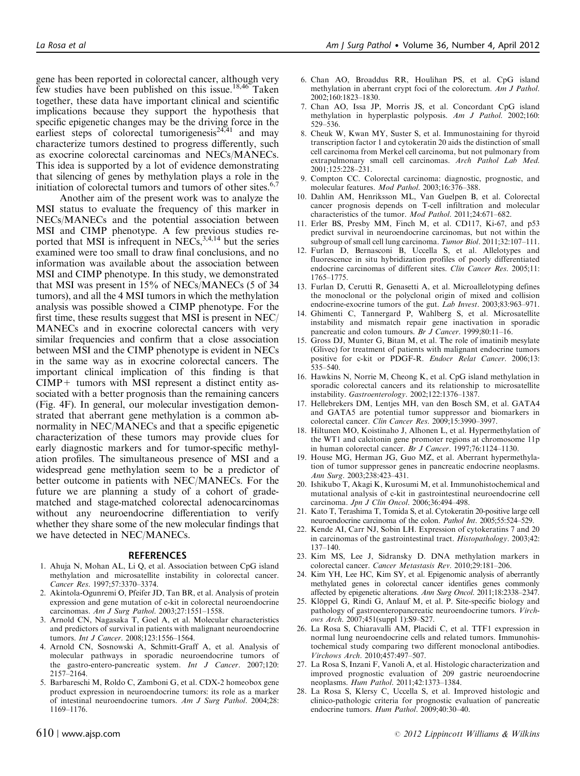<span id="page-9-0"></span>gene has been reported in colorectal cancer, although very few studies have been published on this issue.<sup>18,46</sup> Taken together, these data have important clinical and scientific implications because they support the hypothesis that specific epigenetic changes may be the driving force in the earliest steps of colorectal tumorigenesis $24,41$  and may characterize tumors destined to progress differently, such as exocrine colorectal carcinomas and NECs/MANECs. This idea is supported by a lot of evidence demonstrating that silencing of genes by methylation plays a role in the initiation of colorectal tumors and tumors of other sites. $6,7$ 

Another aim of the present work was to analyze the MSI status to evaluate the frequency of this marker in NECs/MANECs and the potential association between MSI and CIMP phenotype. A few previous studies reported that MSI is infrequent in  $NECs$ ,  $3,4,14$  but the series examined were too small to draw final conclusions, and no information was available about the association between MSI and CIMP phenotype. In this study, we demonstrated that MSI was present in 15% of NECs/MANECs (5 of 34 tumors), and all the 4 MSI tumors in which the methylation analysis was possible showed a CIMP phenotype. For the first time, these results suggest that MSI is present in NEC/ MANECs and in exocrine colorectal cancers with very similar frequencies and confirm that a close association between MSI and the CIMP phenotype is evident in NECs in the same way as in exocrine colorectal cancers. The important clinical implication of this finding is that  $CIMP +$  tumors with MSI represent a distinct entity associated with a better prognosis than the remaining cancers ([Fig. 4F](#page-7-0)). In general, our molecular investigation demonstrated that aberrant gene methylation is a common abnormality in NEC/MANECs and that a specific epigenetic characterization of these tumors may provide clues for early diagnostic markers and for tumor-specific methylation profiles. The simultaneous presence of MSI and a widespread gene methylation seem to be a predictor of better outcome in patients with NEC/MANECs. For the future we are planning a study of a cohort of gradematched and stage-matched colorectal adenocarcinomas without any neuroendocrine differentiation to verify whether they share some of the new molecular findings that we have detected in NEC/MANECs.

#### **REFERENCES**

- 1. Ahuja N, Mohan AL, Li Q, et al. Association between CpG island methylation and microsatellite instability in colorectal cancer. Cancer Res. 1997;57:3370–3374.
- 2. Akintola-Ogunremi O, Pfeifer JD, Tan BR, et al. Analysis of protein expression and gene mutation of c-kit in colorectal neuroendocrine carcinomas. Am J Surg Pathol. 2003;27:1551–1558.
- 3. Arnold CN, Nagasaka T, Goel A, et al. Molecular characteristics and predictors of survival in patients with malignant neuroendocrine tumors. Int J Cancer. 2008;123:1556–1564.
- 4. Arnold CN, Sosnowski A, Schmitt-Graff A, et al. Analysis of molecular pathways in sporadic neuroendocrine tumors of the gastro-entero-pancreatic system. Int J Cancer. 2007;120: 2157–2164.
- 5. Barbareschi M, Roldo C, Zamboni G, et al. CDX-2 homeobox gene product expression in neuroendocrine tumors: its role as a marker of intestinal neuroendocrine tumors. Am J Surg Pathol. 2004;28: 1169–1176.
- 6. Chan AO, Broaddus RR, Houlihan PS, et al. CpG island methylation in aberrant crypt foci of the colorectum. Am J Pathol. 2002;160:1823–1830.
- 7. Chan AO, Issa JP, Morris JS, et al. Concordant CpG island methylation in hyperplastic polyposis. Am J Pathol. 2002;160: 529–536.
- 8. Cheuk W, Kwan MY, Suster S, et al. Immunostaining for thyroid transcription factor 1 and cytokeratin 20 aids the distinction of small cell carcinoma from Merkel cell carcinoma, but not pulmonary from extrapulmonary small cell carcinomas. Arch Pathol Lab Med. 2001;125:228–231.
- 9. Compton CC. Colorectal carcinoma: diagnostic, prognostic, and molecular features. Mod Pathol. 2003;16:376–388.
- 10. Dahlin AM, Henriksson ML, Van Guelpen B, et al. Colorectal cancer prognosis depends on T-cell infiltration and molecular characteristics of the tumor. Mod Pathol. 2011;24:671–682.
- 11. Erler BS, Presby MM, Finch M, et al. CD117, Ki-67, and p53 predict survival in neuroendocrine carcinomas, but not within the subgroup of small cell lung carcinoma. Tumor Biol. 2011;32:107–111.
- 12. Furlan D, Bernasconi B, Uccella S, et al. Allelotypes and fluorescence in situ hybridization profiles of poorly differentiated endocrine carcinomas of different sites. Clin Cancer Res. 2005;11: 1765–1775.
- 13. Furlan D, Cerutti R, Genasetti A, et al. Microallelotyping defines the monoclonal or the polyclonal origin of mixed and collision endocrine-exocrine tumors of the gut. *Lab Invest*. 2003;83:963-971.
- 14. Ghimenti C, Tannergard P, Wahlberg S, et al. Microsatellite instability and mismatch repair gene inactivation in sporadic pancreatic and colon tumours. Br J Cancer. 1999;80:11-16.
- 15. Gross DJ, Munter G, Bitan M, et al. The role of imatinib mesylate (Glivec) for treatment of patients with malignant endocrine tumors positive for c-kit or PDGF-R. Endocr Relat Cancer. 2006;13: 535–540.
- 16. Hawkins N, Norrie M, Cheong K, et al. CpG island methylation in sporadic colorectal cancers and its relationship to microsatellite instability. Gastroenterology. 2002;122:1376–1387.
- 17. Hellebrekers DM, Lentjes MH, van den Bosch SM, et al. GATA4 and GATA5 are potential tumor suppressor and biomarkers in colorectal cancer. Clin Cancer Res. 2009;15:3990–3997.
- 18. Hiltunen MO, Koistinaho J, Alhonen L, et al. Hypermethylation of the WT1 and calcitonin gene promoter regions at chromosome 11p in human colorectal cancer. Br J Cancer. 1997;76:1124–1130.
- 19. House MG, Herman JG, Guo MZ, et al. Aberrant hypermethylation of tumor suppressor genes in pancreatic endocrine neoplasms. Ann Surg. 2003;238:423–431.
- 20. Ishikubo T, Akagi K, Kurosumi M, et al. Immunohistochemical and mutational analysis of c-kit in gastrointestinal neuroendocrine cell carcinoma. Jpn J Clin Oncol. 2006;36:494–498.
- 21. Kato T, Terashima T, Tomida S, et al. Cytokeratin 20-positive large cell neuroendocrine carcinoma of the colon. Pathol Int. 2005;55:524–529.
- 22. Kende AI, Carr NJ, Sobin LH. Expression of cytokeratins 7 and 20 in carcinomas of the gastrointestinal tract. Histopathology. 2003;42: 137–140.
- 23. Kim MS, Lee J, Sidransky D. DNA methylation markers in colorectal cancer. Cancer Metastasis Rev. 2010;29:181–206.
- 24. Kim YH, Lee HC, Kim SY, et al. Epigenomic analysis of aberrantly methylated genes in colorectal cancer identifies genes commonly affected by epigenetic alterations. Ann Surg Oncol. 2011;18:2338–2347.
- 25. Klöppel G, Rindi G, Anlauf M, et al. P. Site-specific biology and pathology of gastroenteropancreatic neuroendocrine tumors. Virchows Arch. 2007;451(suppl 1):S9–S27.
- 26. La Rosa S, Chiaravalli AM, Placidi C, et al. TTF1 expression in normal lung neuroendocrine cells and related tumors. Immunohistochemical study comparing two different monoclonal antibodies. Virchows Arch. 2010;457:497–507.
- 27. La Rosa S, Inzani F, Vanoli A, et al. Histologic characterization and improved prognostic evaluation of 209 gastric neuroendocrine neoplasms. Hum Pathol. 2011;42:1373–1384.
- 28. La Rosa S, Klersy C, Uccella S, et al. Improved histologic and clinico-pathologic criteria for prognostic evaluation of pancreatic endocrine tumors. Hum Pathol. 2009;40:30–40.